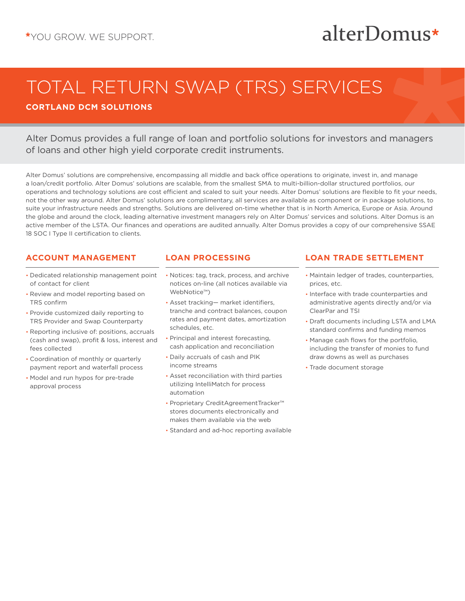# alterDomus\*

# TOTAL RETURN SWAP (TRS) SERVICES

**CORTLAND DCM SOLUTIONS**

Alter Domus provides a full range of loan and portfolio solutions for investors and managers of loans and other high yield corporate credit instruments.

Alter Domus' solutions are comprehensive, encompassing all middle and back office operations to originate, invest in, and manage a loan/credit portfolio. Alter Domus' solutions are scalable, from the smallest SMA to multi-billion-dollar structured portfolios, our operations and technology solutions are cost efficient and scaled to suit your needs. Alter Domus' solutions are flexible to fit your needs, not the other way around. Alter Domus' solutions are complimentary, all services are available as component or in package solutions, to suite your infrastructure needs and strengths. Solutions are delivered on-time whether that is in North America, Europe or Asia. Around the globe and around the clock, leading alternative investment managers rely on Alter Domus' services and solutions. Alter Domus is an active member of the LSTA. Our finances and operations are audited annually. Alter Domus provides a copy of our comprehensive SSAE 18 SOC I Type II certification to clients.

# **ACCOUNT MANAGEMENT**

- Dedicated relationship management point of contact for client
- Review and model reporting based on TRS confirm
- Provide customized daily reporting to TRS Provider and Swap Counterparty
- Reporting inclusive of: positions, accruals (cash and swap), profit & loss, interest and fees collected
- Coordination of monthly or quarterly payment report and waterfall process
- Model and run hypos for pre-trade approval process

# **LOAN PROCESSING**

- Notices: tag, track, process, and archive notices on-line (all notices available via WebNotice™)
- Asset tracking— market identifiers, tranche and contract balances, coupon rates and payment dates, amortization schedules, etc.
- Principal and interest forecasting, cash application and reconciliation
- Daily accruals of cash and PIK income streams
- Asset reconciliation with third parties utilizing IntelliMatch for process automation
- Proprietary CreditAgreementTracker™ stores documents electronically and makes them available via the web
- Standard and ad-hoc reporting available

# **LOAN TRADE SETTLEMENT**

- Maintain ledger of trades, counterparties, prices, etc.
- Interface with trade counterparties and administrative agents directly and/or via ClearPar and TSI
- Draft documents including LSTA and LMA standard confirms and funding memos
- Manage cash flows for the portfolio, including the transfer of monies to fund draw downs as well as purchases
- Trade document storage